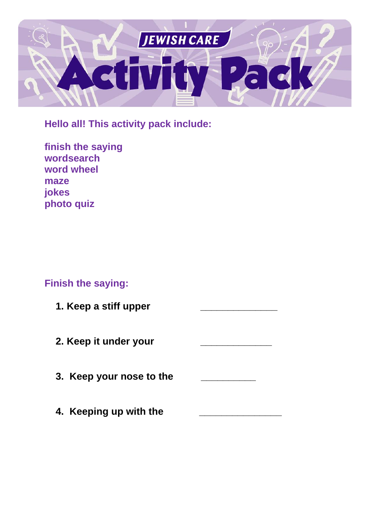

**Hello all! This activity pack include:**

| finish the saying |
|-------------------|
| wordsearch        |
| word wheel        |
| maze              |
| jokes             |
| photo quiz        |

# **Finish the saying:**

| 1. Keep a stiff upper    |  |
|--------------------------|--|
| 2. Keep it under your    |  |
| 3. Keep your nose to the |  |
| 4. Keeping up with the   |  |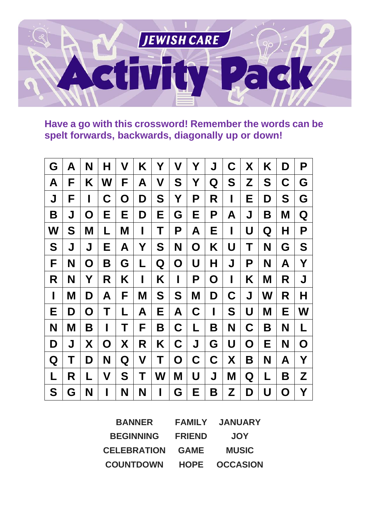

**Have a go with this crossword! Remember the words can be spelt forwards, backwards, diagonally up or down!**

| G | Α | N | Н | V | K | Y | V           | Υ | J | $\mathbf C$ | X | K | D | P |
|---|---|---|---|---|---|---|-------------|---|---|-------------|---|---|---|---|
| A | F | Κ | W | F | А | V | S           | Y | Q | S           | Z | S | C | G |
| J | F | I | C | O | D | S | Υ           | Ρ | R | ı           | Е | D | S | G |
| B | J | O | Е | Е | D | Е | G           | Е | P | A           | J | Β | Μ | Q |
| W | S | Μ | L | M | I | Τ | P           | A | Е | I           | U | Q | Н | P |
| S | J | J | Е | A | Υ | S | N           | O | K | U           | Τ | N | G | S |
| F | N | O | B | G | L | Q | $\mathbf O$ | U | H | J           | P | N | A | Y |
| R | N | Υ | R | K | I | K | I           | Ρ | O | I           | K | M | R | J |
| I | Μ | D | A | F | M | S | S           | M | D | C           | J | W | R | Н |
| Е | D | O | Τ | L | A | Е | A           | C | I | S           | U | Μ | Е | W |
| N | M | Β | I | Τ | F | Β | C           | L | Β | N           | C | Β | N | L |
| D | J | X | O | X | R | K | $\mathbf C$ | J | G | U           | O | Е | N | O |
| Q | Τ | D | N | Q | V | Τ | $\mathbf O$ | C | C | X           | Β | N | A | Υ |
| L | R | L | V | S | Τ | W | M           | U | J | M           | Q | L | Β | Z |
| S | G | N | I | N | N | I | G           | Е | Β | Z           | D | U | O | Υ |

| <b>BANNER</b>      | <b>FAMILY</b> | <b>JANUARY</b>  |
|--------------------|---------------|-----------------|
| <b>BEGINNING</b>   | <b>FRIEND</b> | <b>JOY</b>      |
| <b>CELEBRATION</b> | <b>GAME</b>   | <b>MUSIC</b>    |
| <b>COUNTDOWN</b>   | <b>HOPE</b>   | <b>OCCASION</b> |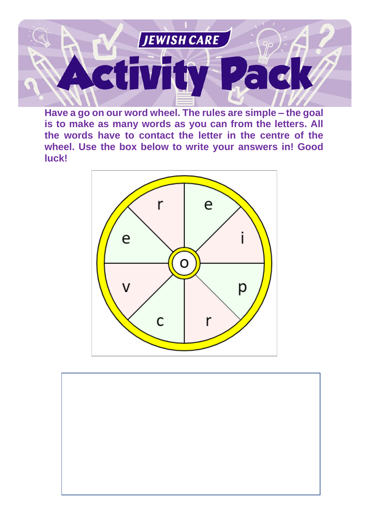

**Have a go on our word wheel. The rules are simple – the goal is to make as many words as you can from the letters. All the words have to contact the letter in the centre of the wheel. Use the box below to write your answers in! Good luck!**



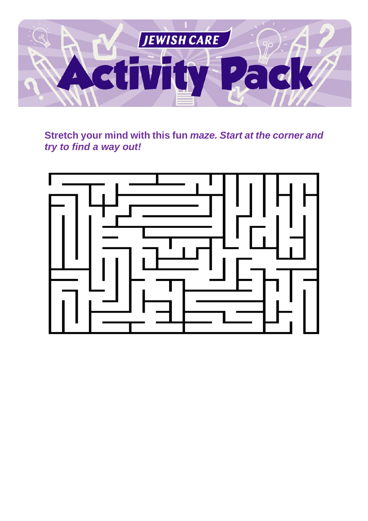

**Stretch your mind with this fun** *maze. Start at the corner and try to find a way out!*

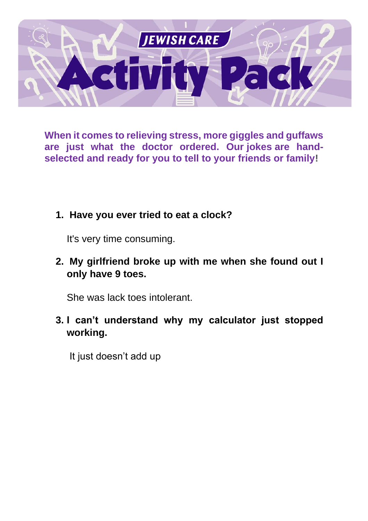

**When it comes to relieving stress, more giggles and guffaws are just what the doctor ordered. Our jokes are handselected and ready for you to tell to your friends or family!**

### **1. Have you ever tried to eat a clock?**

It's very time consuming.

**2. My girlfriend broke up with me when she found out I only have 9 toes.** 

She was lack toes intolerant.

**3. I can't understand why my calculator just stopped working.**

It just doesn't add up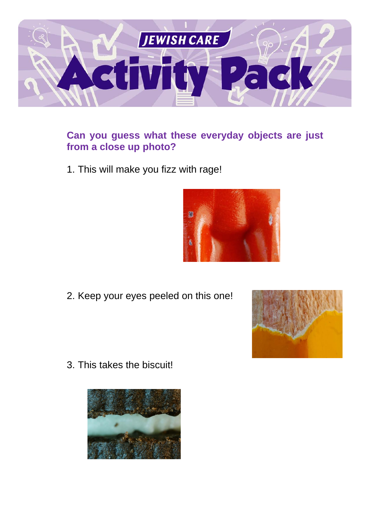

## **Can you guess what these everyday objects are just from a close up photo?**

1. This will make you fizz with rage!



2. Keep your eyes peeled on this one!



3. This takes the biscuit!

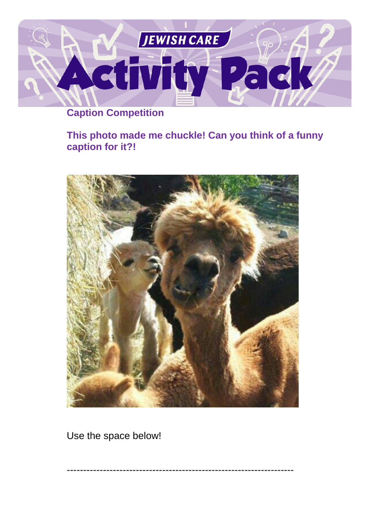

# **Caption Competition**

## **This photo made me chuckle! Can you think of a funny caption for it?!**



---------------------------------------------------------------------

Use the space below!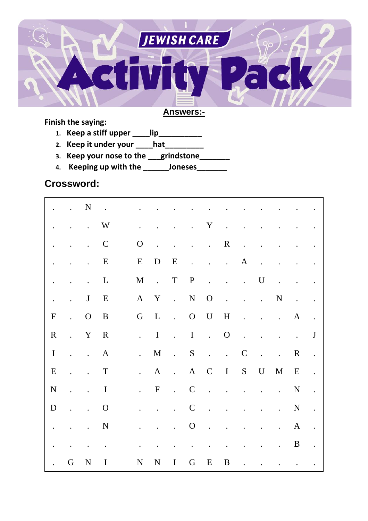

#### **Answers:-**

#### **Finish the saying:**

- **1. Keep a stiff upper \_\_\_\_lip\_\_\_\_\_\_\_\_\_\_**
- **2. Keep it under your \_\_\_\_hat\_\_\_\_\_\_\_\_\_**
- **3. Keep your nose to the \_\_\_grindstone\_\_\_\_\_\_\_**
- **4. Keeping up with the \_\_\_\_\_\_Joneses\_\_\_\_\_\_\_**

### **Crossword:**

|                      | $\mathbf{L}^{\text{max}}$ | $\mathbf N$                          | $\sim$ $\sim$ |                           |                      |                            |                      |                                      |                                                                                               |                      |                            |                            |                      |                      |
|----------------------|---------------------------|--------------------------------------|---------------|---------------------------|----------------------|----------------------------|----------------------|--------------------------------------|-----------------------------------------------------------------------------------------------|----------------------|----------------------------|----------------------------|----------------------|----------------------|
|                      | $\cdot$                   | $\ddot{\phantom{0}}$                 | W             |                           |                      |                            | $\ddot{\phantom{0}}$ | Y                                    | $\ddot{\phantom{a}}$                                                                          |                      |                            |                            |                      |                      |
|                      | $\ddot{\phantom{0}}$      | $\mathcal{L}^{\text{max}}$           | $\mathbf C$   | $\mathbf{O}$              | $\ddot{\phantom{a}}$ | $\ddot{\phantom{0}}$       |                      | $\mathbf{L} = \mathbf{L} \mathbf{L}$ | $\mathbf R$                                                                                   | $\ddot{\phantom{a}}$ |                            |                            |                      |                      |
|                      |                           | $\ddot{\phantom{0}}$                 | E             | ${\bf E}$                 | D                    | $\mathbf E$                | $\ddot{\phantom{0}}$ | $\mathbf{L}^{\text{max}}$            | $\sim 10^{-10}$                                                                               | $\mathbf{A}$         | $\ddot{\phantom{a}}$       |                            |                      |                      |
| $\ddot{\phantom{0}}$ | $\ddot{\phantom{a}}$      | $\ddot{\phantom{0}}$                 | $\mathbf{L}$  | M                         | $\sim 10^{-11}$      | T                          | $\mathbf{P}$         |                                      | $\mathbf{r}^{\left(1\right)}$ , $\mathbf{r}^{\left(2\right)}$ , $\mathbf{r}^{\left(3\right)}$ |                      | $\mathbf U$                | $\ddot{\phantom{a}}$       |                      |                      |
| $\ddot{\phantom{0}}$ | $\ddot{\phantom{a}}$      | $\mathbf{J}$                         | E             | $\mathbf{A}$              | Y                    | $\mathcal{L}_{\text{max}}$ | ${\bf N}$            | $\mathbf{O}$                         | $\sim$ $\sim$                                                                                 | $\ddot{\phantom{0}}$ | $\mathcal{L}^{\text{max}}$ | N                          | $\ddot{\phantom{a}}$ | $\bullet$            |
| ${\bf F}$            | $\mathcal{L}^{(1)}$       | $\mathbf{O}$                         | B             | $\mathbf G$               | $\mathbf{L}$         | $\ddot{\phantom{a}}$       | $\overline{O}$       | $\mathbf U$                          | $H_{\rm}$                                                                                     | $\ddot{\phantom{a}}$ | $\ddot{\phantom{0}}$       | $\sim 100$ km s $^{-1}$    | A                    |                      |
| $\mathbf R$          | $\mathbb{R}^{n \times n}$ | $\mathbf Y$                          | $\mathbf R$   | $\mathbf{L}^{\text{max}}$ | $\mathbf I$          | $\frac{1}{2}$              | $\mathbf I$          | $\sim 10^{-1}$                       | $\mathbf{O}$                                                                                  | $\ddot{\phantom{0}}$ |                            | $\ddot{\phantom{0}}$       | $\ddot{\bullet}$     | J                    |
| $\mathbf I$          |                           | $\mathbf{L} = \mathbf{L} \mathbf{L}$ | $\mathbf{A}$  | $\ddot{\phantom{0}}$      | M                    | $\sim 10^{-10}$            | ${\bf S}$            | $\mathcal{L}$                        | $\sim$ $\sim$                                                                                 | $\mathbf C$          | $\sim$ $\sim$              | $\ddot{\phantom{0}}$       | $\mathbf R$          | $\ddot{\phantom{a}}$ |
| ${\bf E}$            | $\ddot{\phantom{a}}$      | $\ddot{\phantom{0}}$                 | $\mathbf T$   | $\mathbf{L}$              | $\mathbf{A}$         | $\mathcal{L}_{\text{max}}$ | $\mathbf{A}$         | $\mathbf C$                          | $\mathbf{I}$                                                                                  |                      | S U                        | M                          | E                    |                      |
| N                    | $\ddot{\phantom{a}}$      | $\mathbf{L}^{\text{max}}$            | $\bf{I}$      | $\ddot{\phantom{0}}$      | $\mathbf F$          | $\ddot{\phantom{a}}$       | $\mathbf C$          | $\sim$ $\sim$                        | $\ddot{\phantom{a}}$                                                                          | $\ddot{\phantom{a}}$ | $\ddot{\phantom{a}}$       | $\mathcal{L}^{\text{max}}$ | $\mathbf N$          | $\ddot{\phantom{0}}$ |
| D                    | $\ddot{\phantom{0}}$      | $\ddot{\phantom{0}}$                 | $\mathbf{O}$  | $\ddot{\phantom{0}}$      | $\ddot{\phantom{a}}$ | $\ddot{\phantom{0}}$       | $\mathbf C$          |                                      | $\ddot{\phantom{0}}$                                                                          |                      |                            | $\ddot{\phantom{a}}$       | ${\bf N}$            | $\ddot{\phantom{a}}$ |
| $\ddot{\phantom{a}}$ | $\ddot{\phantom{0}}$      | $\mathbb{Z}^{\mathbb{Z}^{\times}}$   | N             |                           |                      | $\ddot{\phantom{a}}$       | $\mathbf{O}$         | $\mathbf{r}$                         | $\ddot{\phantom{a}}$                                                                          |                      |                            | $\ddot{\phantom{a}}$       | $\mathbf{A}$         | $\ddot{\phantom{0}}$ |
|                      |                           |                                      | $\bullet$     |                           |                      |                            |                      |                                      |                                                                                               |                      |                            | $\ddot{\phantom{0}}$       | $\boldsymbol{B}$     |                      |
|                      | G                         | $\mathbf N$                          | I             | N                         | N                    | $\bf{I}$                   | G                    | E                                    | B                                                                                             |                      |                            |                            |                      |                      |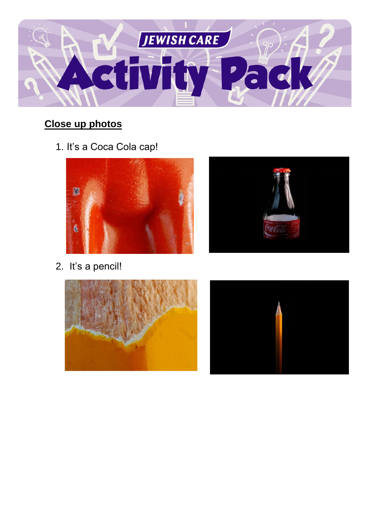

# **Close up photos**

1. It's a Coca Cola cap!



2. It's a pencil!





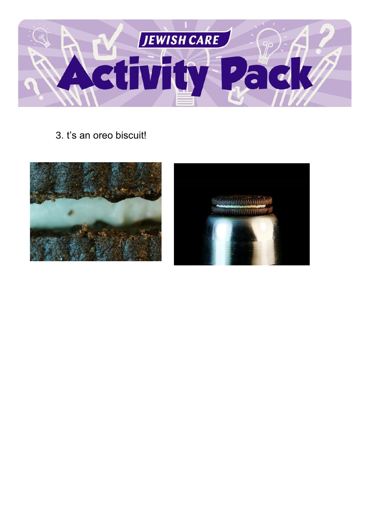

3. t's an oreo biscuit!



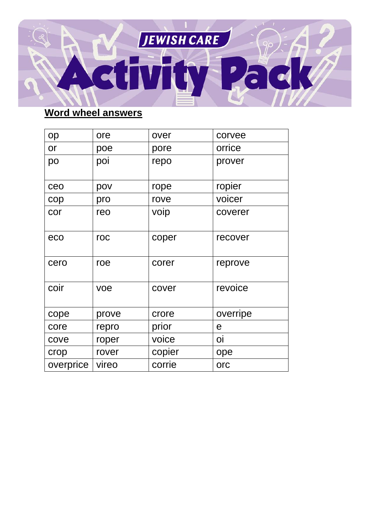

## **Word wheel answers**

| op        | ore   | over   | corvee   |
|-----------|-------|--------|----------|
| or        | poe   | pore   | orrice   |
| po        | poi   | repo   | prover   |
| ceo       | pov   | rope   | ropier   |
| cop       | pro   | rove   | voicer   |
| cor       | reo   | voip   | coverer  |
| eco       | roc   | coper  | recover  |
| cero      | roe   | corer  | reprove  |
| coir      | voe   | cover  | revoice  |
| cope      | prove | crore  | overripe |
| core      | repro | prior  | e        |
| cove      | roper | voice  | <b>O</b> |
| crop      | rover | copier | ope      |
| overprice | vireo | corrie | orc      |